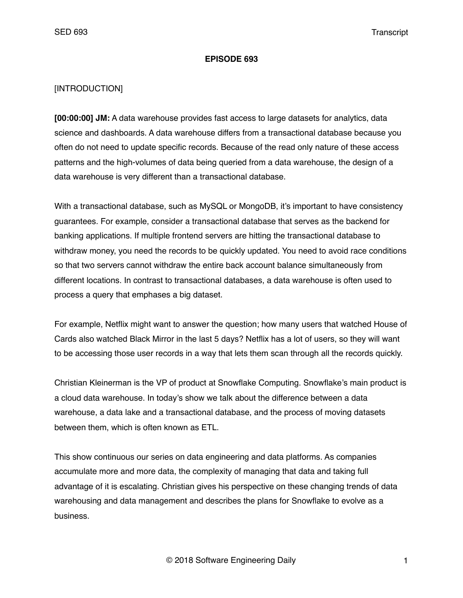#### **EPISODE 693**

### [INTRODUCTION]

**[00:00:00] JM:** A data warehouse provides fast access to large datasets for analytics, data science and dashboards. A data warehouse differs from a transactional database because you often do not need to update specific records. Because of the read only nature of these access patterns and the high-volumes of data being queried from a data warehouse, the design of a data warehouse is very different than a transactional database.

With a transactional database, such as MySQL or MongoDB, it's important to have consistency guarantees. For example, consider a transactional database that serves as the backend for banking applications. If multiple frontend servers are hitting the transactional database to withdraw money, you need the records to be quickly updated. You need to avoid race conditions so that two servers cannot withdraw the entire back account balance simultaneously from different locations. In contrast to transactional databases, a data warehouse is often used to process a query that emphases a big dataset.

For example, Netflix might want to answer the question; how many users that watched House of Cards also watched Black Mirror in the last 5 days? Netflix has a lot of users, so they will want to be accessing those user records in a way that lets them scan through all the records quickly.

Christian Kleinerman is the VP of product at Snowflake Computing. Snowflake's main product is a cloud data warehouse. In today's show we talk about the difference between a data warehouse, a data lake and a transactional database, and the process of moving datasets between them, which is often known as ETL.

This show continuous our series on data engineering and data platforms. As companies accumulate more and more data, the complexity of managing that data and taking full advantage of it is escalating. Christian gives his perspective on these changing trends of data warehousing and data management and describes the plans for Snowflake to evolve as a business.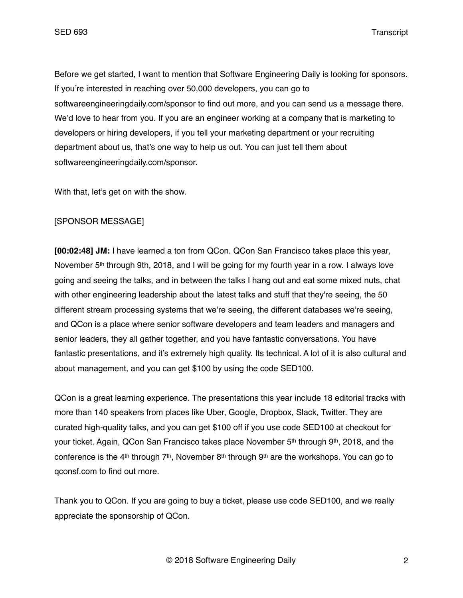Before we get started, I want to mention that Software Engineering Daily is looking for sponsors. If you're interested in reaching over 50,000 developers, you can go to softwareengineeringdaily.com/sponsor to find out more, and you can send us a message there. We'd love to hear from you. If you are an engineer working at a company that is marketing to developers or hiring developers, if you tell your marketing department or your recruiting department about us, that's one way to help us out. You can just tell them about softwareengineeringdaily.com/sponsor.

With that, let's get on with the show.

#### [SPONSOR MESSAGE]

**[00:02:48] JM:** I have learned a ton from QCon. QCon San Francisco takes place this year, November 5<sup>th</sup> through 9th, 2018, and I will be going for my fourth year in a row. I always love going and seeing the talks, and in between the talks I hang out and eat some mixed nuts, chat with other engineering leadership about the latest talks and stuff that they're seeing, the 50 different stream processing systems that we're seeing, the different databases we're seeing, and QCon is a place where senior software developers and team leaders and managers and senior leaders, they all gather together, and you have fantastic conversations. You have fantastic presentations, and it's extremely high quality. Its technical. A lot of it is also cultural and about management, and you can get \$100 by using the code SED100.

QCon is a great learning experience. The presentations this year include 18 editorial tracks with more than 140 speakers from places like Uber, Google, Dropbox, Slack, Twitter. They are curated high-quality talks, and you can get \$100 off if you use code SED100 at checkout for your ticket. Again, QCon San Francisco takes place November 5<sup>th</sup> through 9<sup>th</sup>, 2018, and the conference is the  $4<sup>th</sup>$  through 7<sup>th</sup>, November 8<sup>th</sup> through 9<sup>th</sup> are the workshops. You can go to qconsf.com to find out more.

Thank you to QCon. If you are going to buy a ticket, please use code SED100, and we really appreciate the sponsorship of QCon.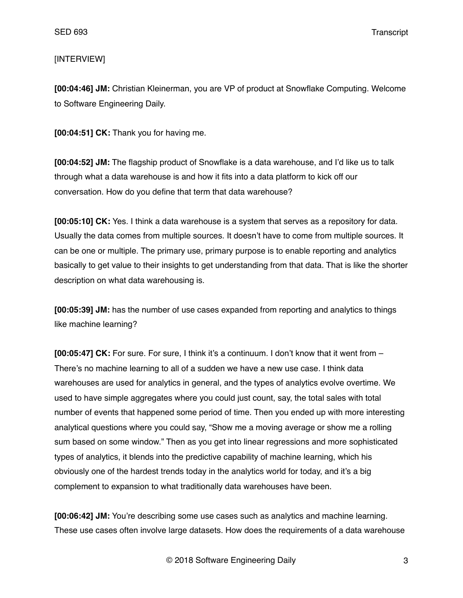### [INTERVIEW]

**[00:04:46] JM:** Christian Kleinerman, you are VP of product at Snowflake Computing. Welcome to Software Engineering Daily.

**[00:04:51] CK:** Thank you for having me.

**[00:04:52] JM:** The flagship product of Snowflake is a data warehouse, and I'd like us to talk through what a data warehouse is and how it fits into a data platform to kick off our conversation. How do you define that term that data warehouse?

**[00:05:10] CK:** Yes. I think a data warehouse is a system that serves as a repository for data. Usually the data comes from multiple sources. It doesn't have to come from multiple sources. It can be one or multiple. The primary use, primary purpose is to enable reporting and analytics basically to get value to their insights to get understanding from that data. That is like the shorter description on what data warehousing is.

**[00:05:39] JM:** has the number of use cases expanded from reporting and analytics to things like machine learning?

**[00:05:47] CK:** For sure. For sure, I think it's a continuum. I don't know that it went from – There's no machine learning to all of a sudden we have a new use case. I think data warehouses are used for analytics in general, and the types of analytics evolve overtime. We used to have simple aggregates where you could just count, say, the total sales with total number of events that happened some period of time. Then you ended up with more interesting analytical questions where you could say, "Show me a moving average or show me a rolling sum based on some window." Then as you get into linear regressions and more sophisticated types of analytics, it blends into the predictive capability of machine learning, which his obviously one of the hardest trends today in the analytics world for today, and it's a big complement to expansion to what traditionally data warehouses have been.

**[00:06:42] JM:** You're describing some use cases such as analytics and machine learning. These use cases often involve large datasets. How does the requirements of a data warehouse

© 2018 Software Engineering Daily 3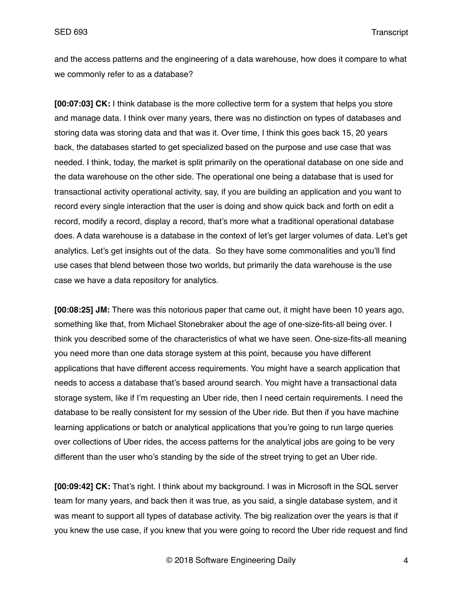and the access patterns and the engineering of a data warehouse, how does it compare to what we commonly refer to as a database?

**[00:07:03] CK:** I think database is the more collective term for a system that helps you store and manage data. I think over many years, there was no distinction on types of databases and storing data was storing data and that was it. Over time, I think this goes back 15, 20 years back, the databases started to get specialized based on the purpose and use case that was needed. I think, today, the market is split primarily on the operational database on one side and the data warehouse on the other side. The operational one being a database that is used for transactional activity operational activity, say, if you are building an application and you want to record every single interaction that the user is doing and show quick back and forth on edit a record, modify a record, display a record, that's more what a traditional operational database does. A data warehouse is a database in the context of let's get larger volumes of data. Let's get analytics. Let's get insights out of the data. So they have some commonalities and you'll find use cases that blend between those two worlds, but primarily the data warehouse is the use case we have a data repository for analytics.

**[00:08:25] JM:** There was this notorious paper that came out, it might have been 10 years ago, something like that, from Michael Stonebraker about the age of one-size-fits-all being over. I think you described some of the characteristics of what we have seen. One-size-fits-all meaning you need more than one data storage system at this point, because you have different applications that have different access requirements. You might have a search application that needs to access a database that's based around search. You might have a transactional data storage system, like if I'm requesting an Uber ride, then I need certain requirements. I need the database to be really consistent for my session of the Uber ride. But then if you have machine learning applications or batch or analytical applications that you're going to run large queries over collections of Uber rides, the access patterns for the analytical jobs are going to be very different than the user who's standing by the side of the street trying to get an Uber ride.

**[00:09:42] CK:** That's right. I think about my background. I was in Microsoft in the SQL server team for many years, and back then it was true, as you said, a single database system, and it was meant to support all types of database activity. The big realization over the years is that if you knew the use case, if you knew that you were going to record the Uber ride request and find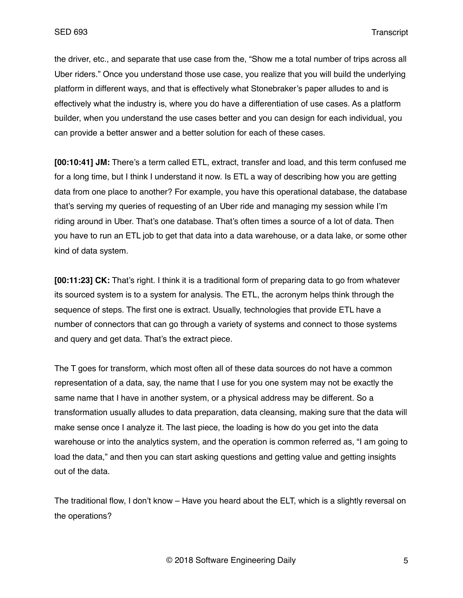the driver, etc., and separate that use case from the, "Show me a total number of trips across all Uber riders." Once you understand those use case, you realize that you will build the underlying platform in different ways, and that is effectively what Stonebraker's paper alludes to and is effectively what the industry is, where you do have a differentiation of use cases. As a platform builder, when you understand the use cases better and you can design for each individual, you can provide a better answer and a better solution for each of these cases.

**[00:10:41] JM:** There's a term called ETL, extract, transfer and load, and this term confused me for a long time, but I think I understand it now. Is ETL a way of describing how you are getting data from one place to another? For example, you have this operational database, the database that's serving my queries of requesting of an Uber ride and managing my session while I'm riding around in Uber. That's one database. That's often times a source of a lot of data. Then you have to run an ETL job to get that data into a data warehouse, or a data lake, or some other kind of data system.

**[00:11:23] CK:** That's right. I think it is a traditional form of preparing data to go from whatever its sourced system is to a system for analysis. The ETL, the acronym helps think through the sequence of steps. The first one is extract. Usually, technologies that provide ETL have a number of connectors that can go through a variety of systems and connect to those systems and query and get data. That's the extract piece.

The T goes for transform, which most often all of these data sources do not have a common representation of a data, say, the name that I use for you one system may not be exactly the same name that I have in another system, or a physical address may be different. So a transformation usually alludes to data preparation, data cleansing, making sure that the data will make sense once I analyze it. The last piece, the loading is how do you get into the data warehouse or into the analytics system, and the operation is common referred as, "I am going to load the data," and then you can start asking questions and getting value and getting insights out of the data.

The traditional flow, I don't know – Have you heard about the ELT, which is a slightly reversal on the operations?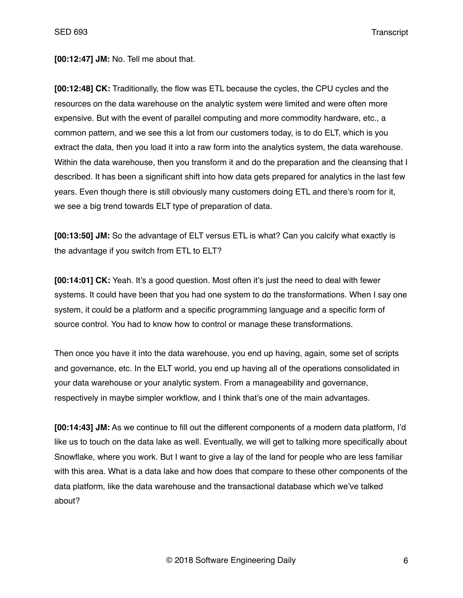**[00:12:47] JM:** No. Tell me about that.

**[00:12:48] CK:** Traditionally, the flow was ETL because the cycles, the CPU cycles and the resources on the data warehouse on the analytic system were limited and were often more expensive. But with the event of parallel computing and more commodity hardware, etc., a common pattern, and we see this a lot from our customers today, is to do ELT, which is you extract the data, then you load it into a raw form into the analytics system, the data warehouse. Within the data warehouse, then you transform it and do the preparation and the cleansing that I described. It has been a significant shift into how data gets prepared for analytics in the last few years. Even though there is still obviously many customers doing ETL and there's room for it, we see a big trend towards ELT type of preparation of data.

**[00:13:50] JM:** So the advantage of ELT versus ETL is what? Can you calcify what exactly is the advantage if you switch from ETL to ELT?

**[00:14:01] CK:** Yeah. It's a good question. Most often it's just the need to deal with fewer systems. It could have been that you had one system to do the transformations. When I say one system, it could be a platform and a specific programming language and a specific form of source control. You had to know how to control or manage these transformations.

Then once you have it into the data warehouse, you end up having, again, some set of scripts and governance, etc. In the ELT world, you end up having all of the operations consolidated in your data warehouse or your analytic system. From a manageability and governance, respectively in maybe simpler workflow, and I think that's one of the main advantages.

**[00:14:43] JM:** As we continue to fill out the different components of a modern data platform, I'd like us to touch on the data lake as well. Eventually, we will get to talking more specifically about Snowflake, where you work. But I want to give a lay of the land for people who are less familiar with this area. What is a data lake and how does that compare to these other components of the data platform, like the data warehouse and the transactional database which we've talked about?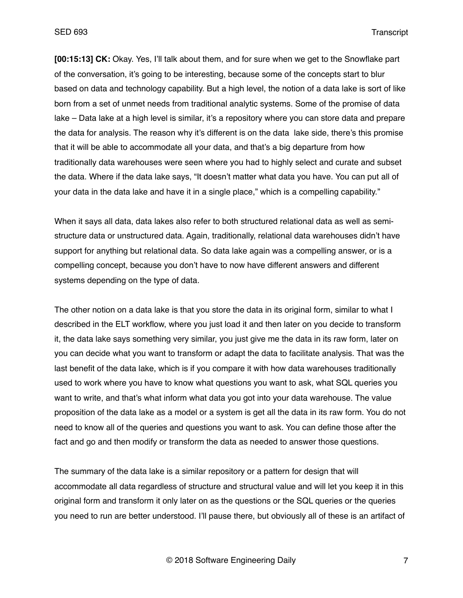**[00:15:13] CK:** Okay. Yes, I'll talk about them, and for sure when we get to the Snowflake part of the conversation, it's going to be interesting, because some of the concepts start to blur based on data and technology capability. But a high level, the notion of a data lake is sort of like born from a set of unmet needs from traditional analytic systems. Some of the promise of data lake – Data lake at a high level is similar, it's a repository where you can store data and prepare the data for analysis. The reason why it's different is on the data lake side, there's this promise that it will be able to accommodate all your data, and that's a big departure from how traditionally data warehouses were seen where you had to highly select and curate and subset the data. Where if the data lake says, "It doesn't matter what data you have. You can put all of your data in the data lake and have it in a single place," which is a compelling capability."

When it says all data, data lakes also refer to both structured relational data as well as semistructure data or unstructured data. Again, traditionally, relational data warehouses didn't have support for anything but relational data. So data lake again was a compelling answer, or is a compelling concept, because you don't have to now have different answers and different systems depending on the type of data.

The other notion on a data lake is that you store the data in its original form, similar to what I described in the ELT workflow, where you just load it and then later on you decide to transform it, the data lake says something very similar, you just give me the data in its raw form, later on you can decide what you want to transform or adapt the data to facilitate analysis. That was the last benefit of the data lake, which is if you compare it with how data warehouses traditionally used to work where you have to know what questions you want to ask, what SQL queries you want to write, and that's what inform what data you got into your data warehouse. The value proposition of the data lake as a model or a system is get all the data in its raw form. You do not need to know all of the queries and questions you want to ask. You can define those after the fact and go and then modify or transform the data as needed to answer those questions.

The summary of the data lake is a similar repository or a pattern for design that will accommodate all data regardless of structure and structural value and will let you keep it in this original form and transform it only later on as the questions or the SQL queries or the queries you need to run are better understood. I'll pause there, but obviously all of these is an artifact of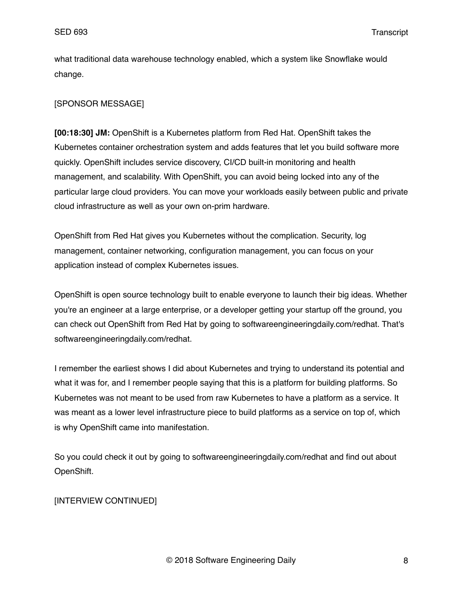what traditional data warehouse technology enabled, which a system like Snowflake would change.

# [SPONSOR MESSAGE]

**[00:18:30] JM:** OpenShift is a Kubernetes platform from Red Hat. OpenShift takes the Kubernetes container orchestration system and adds features that let you build software more quickly. OpenShift includes service discovery, CI/CD built-in monitoring and health management, and scalability. With OpenShift, you can avoid being locked into any of the particular large cloud providers. You can move your workloads easily between public and private cloud infrastructure as well as your own on-prim hardware.

OpenShift from Red Hat gives you Kubernetes without the complication. Security, log management, container networking, configuration management, you can focus on your application instead of complex Kubernetes issues.

OpenShift is open source technology built to enable everyone to launch their big ideas. Whether you're an engineer at a large enterprise, or a developer getting your startup off the ground, you can check out OpenShift from Red Hat by going to softwareengineeringdaily.com/redhat. That's softwareengineeringdaily.com/redhat.

I remember the earliest shows I did about Kubernetes and trying to understand its potential and what it was for, and I remember people saying that this is a platform for building platforms. So Kubernetes was not meant to be used from raw Kubernetes to have a platform as a service. It was meant as a lower level infrastructure piece to build platforms as a service on top of, which is why OpenShift came into manifestation.

So you could check it out by going to softwareengineeringdaily.com/redhat and find out about OpenShift.

# [INTERVIEW CONTINUED]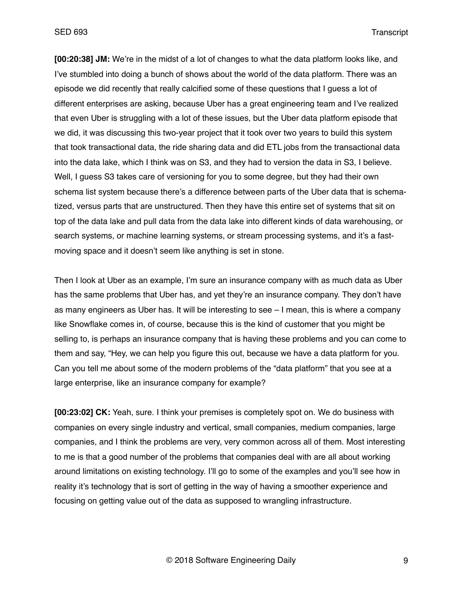**[00:20:38] JM:** We're in the midst of a lot of changes to what the data platform looks like, and I've stumbled into doing a bunch of shows about the world of the data platform. There was an episode we did recently that really calcified some of these questions that I guess a lot of different enterprises are asking, because Uber has a great engineering team and I've realized that even Uber is struggling with a lot of these issues, but the Uber data platform episode that we did, it was discussing this two-year project that it took over two years to build this system that took transactional data, the ride sharing data and did ETL jobs from the transactional data into the data lake, which I think was on S3, and they had to version the data in S3, I believe. Well, I guess S3 takes care of versioning for you to some degree, but they had their own schema list system because there's a difference between parts of the Uber data that is schematized, versus parts that are unstructured. Then they have this entire set of systems that sit on top of the data lake and pull data from the data lake into different kinds of data warehousing, or search systems, or machine learning systems, or stream processing systems, and it's a fastmoving space and it doesn't seem like anything is set in stone.

Then I look at Uber as an example, I'm sure an insurance company with as much data as Uber has the same problems that Uber has, and yet they're an insurance company. They don't have as many engineers as Uber has. It will be interesting to see – I mean, this is where a company like Snowflake comes in, of course, because this is the kind of customer that you might be selling to, is perhaps an insurance company that is having these problems and you can come to them and say, "Hey, we can help you figure this out, because we have a data platform for you. Can you tell me about some of the modern problems of the "data platform" that you see at a large enterprise, like an insurance company for example?

**[00:23:02] CK:** Yeah, sure. I think your premises is completely spot on. We do business with companies on every single industry and vertical, small companies, medium companies, large companies, and I think the problems are very, very common across all of them. Most interesting to me is that a good number of the problems that companies deal with are all about working around limitations on existing technology. I'll go to some of the examples and you'll see how in reality it's technology that is sort of getting in the way of having a smoother experience and focusing on getting value out of the data as supposed to wrangling infrastructure.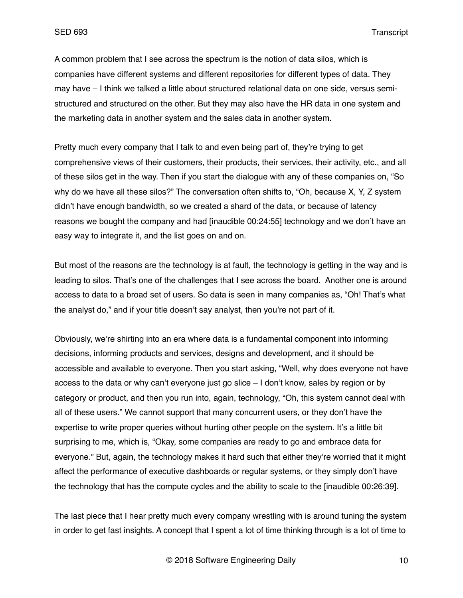A common problem that I see across the spectrum is the notion of data silos, which is companies have different systems and different repositories for different types of data. They may have – I think we talked a little about structured relational data on one side, versus semistructured and structured on the other. But they may also have the HR data in one system and the marketing data in another system and the sales data in another system.

Pretty much every company that I talk to and even being part of, they're trying to get comprehensive views of their customers, their products, their services, their activity, etc., and all of these silos get in the way. Then if you start the dialogue with any of these companies on, "So why do we have all these silos?" The conversation often shifts to, "Oh, because X, Y, Z system didn't have enough bandwidth, so we created a shard of the data, or because of latency reasons we bought the company and had [inaudible 00:24:55] technology and we don't have an easy way to integrate it, and the list goes on and on.

But most of the reasons are the technology is at fault, the technology is getting in the way and is leading to silos. That's one of the challenges that I see across the board. Another one is around access to data to a broad set of users. So data is seen in many companies as, "Oh! That's what the analyst do," and if your title doesn't say analyst, then you're not part of it.

Obviously, we're shirting into an era where data is a fundamental component into informing decisions, informing products and services, designs and development, and it should be accessible and available to everyone. Then you start asking, "Well, why does everyone not have access to the data or why can't everyone just go slice – I don't know, sales by region or by category or product, and then you run into, again, technology, "Oh, this system cannot deal with all of these users." We cannot support that many concurrent users, or they don't have the expertise to write proper queries without hurting other people on the system. It's a little bit surprising to me, which is, "Okay, some companies are ready to go and embrace data for everyone." But, again, the technology makes it hard such that either they're worried that it might affect the performance of executive dashboards or regular systems, or they simply don't have the technology that has the compute cycles and the ability to scale to the [inaudible 00:26:39].

The last piece that I hear pretty much every company wrestling with is around tuning the system in order to get fast insights. A concept that I spent a lot of time thinking through is a lot of time to

© 2018 Software Engineering Daily 10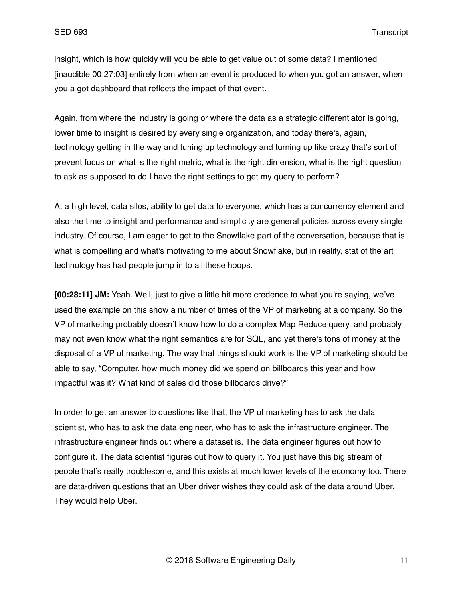insight, which is how quickly will you be able to get value out of some data? I mentioned [inaudible 00:27:03] entirely from when an event is produced to when you got an answer, when you a got dashboard that reflects the impact of that event.

Again, from where the industry is going or where the data as a strategic differentiator is going, lower time to insight is desired by every single organization, and today there's, again, technology getting in the way and tuning up technology and turning up like crazy that's sort of prevent focus on what is the right metric, what is the right dimension, what is the right question to ask as supposed to do I have the right settings to get my query to perform?

At a high level, data silos, ability to get data to everyone, which has a concurrency element and also the time to insight and performance and simplicity are general policies across every single industry. Of course, I am eager to get to the Snowflake part of the conversation, because that is what is compelling and what's motivating to me about Snowflake, but in reality, stat of the art technology has had people jump in to all these hoops.

**[00:28:11] JM:** Yeah. Well, just to give a little bit more credence to what you're saying, we've used the example on this show a number of times of the VP of marketing at a company. So the VP of marketing probably doesn't know how to do a complex Map Reduce query, and probably may not even know what the right semantics are for SQL, and yet there's tons of money at the disposal of a VP of marketing. The way that things should work is the VP of marketing should be able to say, "Computer, how much money did we spend on billboards this year and how impactful was it? What kind of sales did those billboards drive?"

In order to get an answer to questions like that, the VP of marketing has to ask the data scientist, who has to ask the data engineer, who has to ask the infrastructure engineer. The infrastructure engineer finds out where a dataset is. The data engineer figures out how to configure it. The data scientist figures out how to query it. You just have this big stream of people that's really troublesome, and this exists at much lower levels of the economy too. There are data-driven questions that an Uber driver wishes they could ask of the data around Uber. They would help Uber.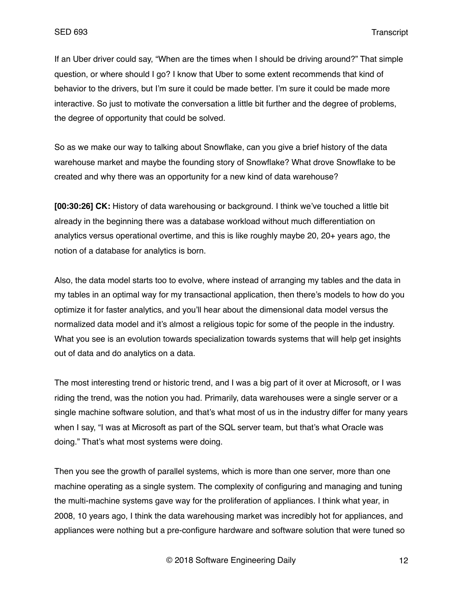If an Uber driver could say, "When are the times when I should be driving around?" That simple question, or where should I go? I know that Uber to some extent recommends that kind of behavior to the drivers, but I'm sure it could be made better. I'm sure it could be made more interactive. So just to motivate the conversation a little bit further and the degree of problems, the degree of opportunity that could be solved.

So as we make our way to talking about Snowflake, can you give a brief history of the data warehouse market and maybe the founding story of Snowflake? What drove Snowflake to be created and why there was an opportunity for a new kind of data warehouse?

**[00:30:26] CK:** History of data warehousing or background. I think we've touched a little bit already in the beginning there was a database workload without much differentiation on analytics versus operational overtime, and this is like roughly maybe 20, 20+ years ago, the notion of a database for analytics is born.

Also, the data model starts too to evolve, where instead of arranging my tables and the data in my tables in an optimal way for my transactional application, then there's models to how do you optimize it for faster analytics, and you'll hear about the dimensional data model versus the normalized data model and it's almost a religious topic for some of the people in the industry. What you see is an evolution towards specialization towards systems that will help get insights out of data and do analytics on a data.

The most interesting trend or historic trend, and I was a big part of it over at Microsoft, or I was riding the trend, was the notion you had. Primarily, data warehouses were a single server or a single machine software solution, and that's what most of us in the industry differ for many years when I say, "I was at Microsoft as part of the SQL server team, but that's what Oracle was doing." That's what most systems were doing.

Then you see the growth of parallel systems, which is more than one server, more than one machine operating as a single system. The complexity of configuring and managing and tuning the multi-machine systems gave way for the proliferation of appliances. I think what year, in 2008, 10 years ago, I think the data warehousing market was incredibly hot for appliances, and appliances were nothing but a pre-configure hardware and software solution that were tuned so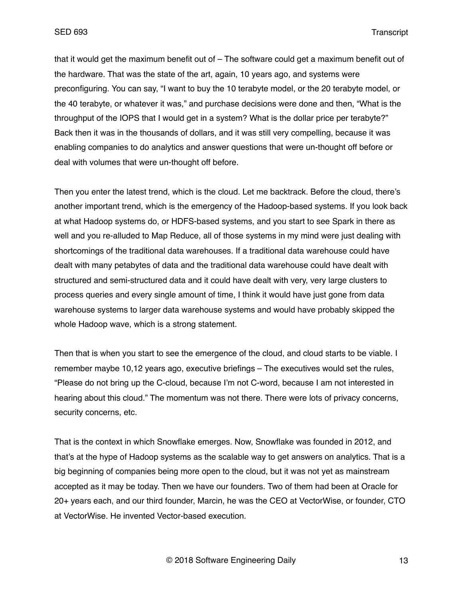that it would get the maximum benefit out of – The software could get a maximum benefit out of the hardware. That was the state of the art, again, 10 years ago, and systems were preconfiguring. You can say, "I want to buy the 10 terabyte model, or the 20 terabyte model, or the 40 terabyte, or whatever it was," and purchase decisions were done and then, "What is the throughput of the IOPS that I would get in a system? What is the dollar price per terabyte?" Back then it was in the thousands of dollars, and it was still very compelling, because it was enabling companies to do analytics and answer questions that were un-thought off before or deal with volumes that were un-thought off before.

Then you enter the latest trend, which is the cloud. Let me backtrack. Before the cloud, there's another important trend, which is the emergency of the Hadoop-based systems. If you look back at what Hadoop systems do, or HDFS-based systems, and you start to see Spark in there as well and you re-alluded to Map Reduce, all of those systems in my mind were just dealing with shortcomings of the traditional data warehouses. If a traditional data warehouse could have dealt with many petabytes of data and the traditional data warehouse could have dealt with structured and semi-structured data and it could have dealt with very, very large clusters to process queries and every single amount of time, I think it would have just gone from data warehouse systems to larger data warehouse systems and would have probably skipped the whole Hadoop wave, which is a strong statement.

Then that is when you start to see the emergence of the cloud, and cloud starts to be viable. I remember maybe 10,12 years ago, executive briefings – The executives would set the rules, "Please do not bring up the C-cloud, because I'm not C-word, because I am not interested in hearing about this cloud." The momentum was not there. There were lots of privacy concerns, security concerns, etc.

That is the context in which Snowflake emerges. Now, Snowflake was founded in 2012, and that's at the hype of Hadoop systems as the scalable way to get answers on analytics. That is a big beginning of companies being more open to the cloud, but it was not yet as mainstream accepted as it may be today. Then we have our founders. Two of them had been at Oracle for 20+ years each, and our third founder, Marcin, he was the CEO at VectorWise, or founder, CTO at VectorWise. He invented Vector-based execution.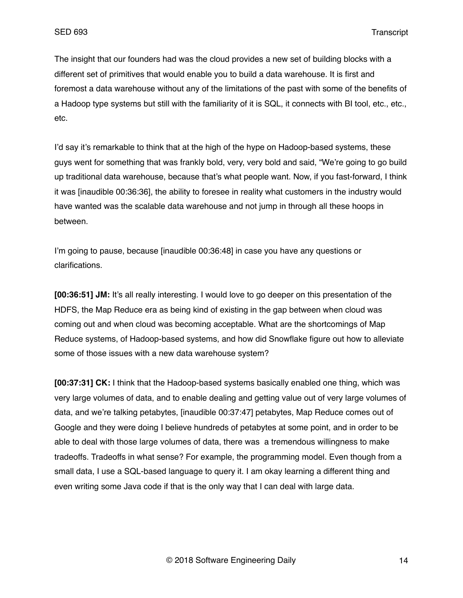The insight that our founders had was the cloud provides a new set of building blocks with a different set of primitives that would enable you to build a data warehouse. It is first and foremost a data warehouse without any of the limitations of the past with some of the benefits of a Hadoop type systems but still with the familiarity of it is SQL, it connects with BI tool, etc., etc., etc.

I'd say it's remarkable to think that at the high of the hype on Hadoop-based systems, these guys went for something that was frankly bold, very, very bold and said, "We're going to go build up traditional data warehouse, because that's what people want. Now, if you fast-forward, I think it was [inaudible 00:36:36], the ability to foresee in reality what customers in the industry would have wanted was the scalable data warehouse and not jump in through all these hoops in between.

I'm going to pause, because [inaudible 00:36:48] in case you have any questions or clarifications.

**[00:36:51] JM:** It's all really interesting. I would love to go deeper on this presentation of the HDFS, the Map Reduce era as being kind of existing in the gap between when cloud was coming out and when cloud was becoming acceptable. What are the shortcomings of Map Reduce systems, of Hadoop-based systems, and how did Snowflake figure out how to alleviate some of those issues with a new data warehouse system?

**[00:37:31] CK:** I think that the Hadoop-based systems basically enabled one thing, which was very large volumes of data, and to enable dealing and getting value out of very large volumes of data, and we're talking petabytes, [inaudible 00:37:47] petabytes, Map Reduce comes out of Google and they were doing I believe hundreds of petabytes at some point, and in order to be able to deal with those large volumes of data, there was a tremendous willingness to make tradeoffs. Tradeoffs in what sense? For example, the programming model. Even though from a small data, I use a SQL-based language to query it. I am okay learning a different thing and even writing some Java code if that is the only way that I can deal with large data.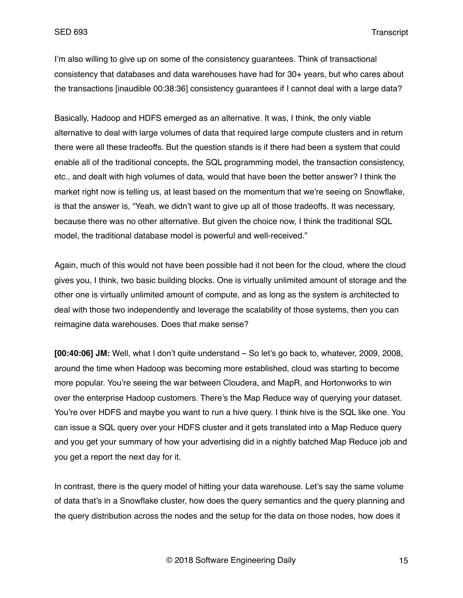I'm also willing to give up on some of the consistency guarantees. Think of transactional consistency that databases and data warehouses have had for 30+ years, but who cares about the transactions [inaudible 00:38:36] consistency guarantees if I cannot deal with a large data?

Basically, Hadoop and HDFS emerged as an alternative. It was, I think, the only viable alternative to deal with large volumes of data that required large compute clusters and in return there were all these tradeoffs. But the question stands is if there had been a system that could enable all of the traditional concepts, the SQL programming model, the transaction consistency, etc., and dealt with high volumes of data, would that have been the better answer? I think the market right now is telling us, at least based on the momentum that we're seeing on Snowflake, is that the answer is, "Yeah, we didn't want to give up all of those tradeoffs. It was necessary, because there was no other alternative. But given the choice now, I think the traditional SQL model, the traditional database model is powerful and well-received."

Again, much of this would not have been possible had it not been for the cloud, where the cloud gives you, I think, two basic building blocks. One is virtually unlimited amount of storage and the other one is virtually unlimited amount of compute, and as long as the system is architected to deal with those two independently and leverage the scalability of those systems, then you can reimagine data warehouses. Does that make sense?

**[00:40:06] JM:** Well, what I don't quite understand – So let's go back to, whatever, 2009, 2008, around the time when Hadoop was becoming more established, cloud was starting to become more popular. You're seeing the war between Cloudera, and MapR, and Hortonworks to win over the enterprise Hadoop customers. There's the Map Reduce way of querying your dataset. You're over HDFS and maybe you want to run a hive query. I think hive is the SQL like one. You can issue a SQL query over your HDFS cluster and it gets translated into a Map Reduce query and you get your summary of how your advertising did in a nightly batched Map Reduce job and you get a report the next day for it.

In contrast, there is the query model of hitting your data warehouse. Let's say the same volume of data that's in a Snowflake cluster, how does the query semantics and the query planning and the query distribution across the nodes and the setup for the data on those nodes, how does it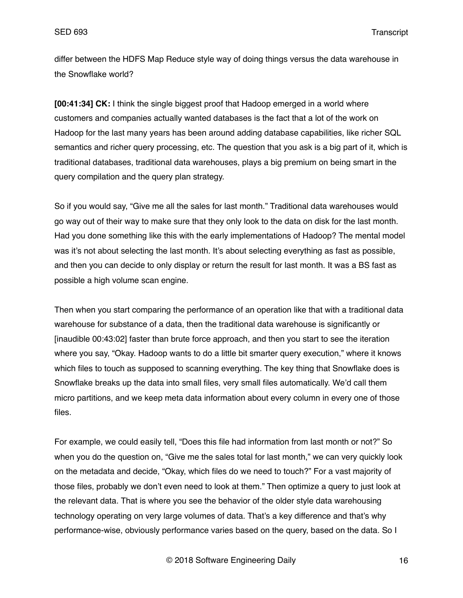differ between the HDFS Map Reduce style way of doing things versus the data warehouse in the Snowflake world?

**[00:41:34] CK:** I think the single biggest proof that Hadoop emerged in a world where customers and companies actually wanted databases is the fact that a lot of the work on Hadoop for the last many years has been around adding database capabilities, like richer SQL semantics and richer query processing, etc. The question that you ask is a big part of it, which is traditional databases, traditional data warehouses, plays a big premium on being smart in the query compilation and the query plan strategy.

So if you would say, "Give me all the sales for last month." Traditional data warehouses would go way out of their way to make sure that they only look to the data on disk for the last month. Had you done something like this with the early implementations of Hadoop? The mental model was it's not about selecting the last month. It's about selecting everything as fast as possible, and then you can decide to only display or return the result for last month. It was a BS fast as possible a high volume scan engine.

Then when you start comparing the performance of an operation like that with a traditional data warehouse for substance of a data, then the traditional data warehouse is significantly or [inaudible 00:43:02] faster than brute force approach, and then you start to see the iteration where you say, "Okay. Hadoop wants to do a little bit smarter query execution," where it knows which files to touch as supposed to scanning everything. The key thing that Snowflake does is Snowflake breaks up the data into small files, very small files automatically. We'd call them micro partitions, and we keep meta data information about every column in every one of those files.

For example, we could easily tell, "Does this file had information from last month or not?" So when you do the question on, "Give me the sales total for last month," we can very quickly look on the metadata and decide, "Okay, which files do we need to touch?" For a vast majority of those files, probably we don't even need to look at them." Then optimize a query to just look at the relevant data. That is where you see the behavior of the older style data warehousing technology operating on very large volumes of data. That's a key difference and that's why performance-wise, obviously performance varies based on the query, based on the data. So I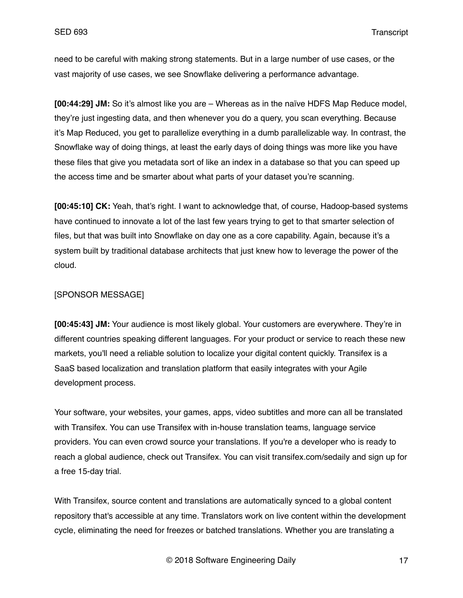need to be careful with making strong statements. But in a large number of use cases, or the vast majority of use cases, we see Snowflake delivering a performance advantage.

**[00:44:29] JM:** So it's almost like you are – Whereas as in the naïve HDFS Map Reduce model, they're just ingesting data, and then whenever you do a query, you scan everything. Because it's Map Reduced, you get to parallelize everything in a dumb parallelizable way. In contrast, the Snowflake way of doing things, at least the early days of doing things was more like you have these files that give you metadata sort of like an index in a database so that you can speed up the access time and be smarter about what parts of your dataset you're scanning.

**[00:45:10] CK:** Yeah, that's right. I want to acknowledge that, of course, Hadoop-based systems have continued to innovate a lot of the last few years trying to get to that smarter selection of files, but that was built into Snowflake on day one as a core capability. Again, because it's a system built by traditional database architects that just knew how to leverage the power of the cloud.

#### [SPONSOR MESSAGE]

**[00:45:43] JM:** Your audience is most likely global. Your customers are everywhere. They're in different countries speaking different languages. For your product or service to reach these new markets, you'll need a reliable solution to localize your digital content quickly. Transifex is a SaaS based localization and translation platform that easily integrates with your Agile development process.

Your software, your websites, your games, apps, video subtitles and more can all be translated with Transifex. You can use Transifex with in-house translation teams, language service providers. You can even crowd source your translations. If you're a developer who is ready to reach a global audience, check out Transifex. You can visit transifex.com/sedaily and sign up for a free 15-day trial.

With Transifex, source content and translations are automatically synced to a global content repository that's accessible at any time. Translators work on live content within the development cycle, eliminating the need for freezes or batched translations. Whether you are translating a

© 2018 Software Engineering Daily 17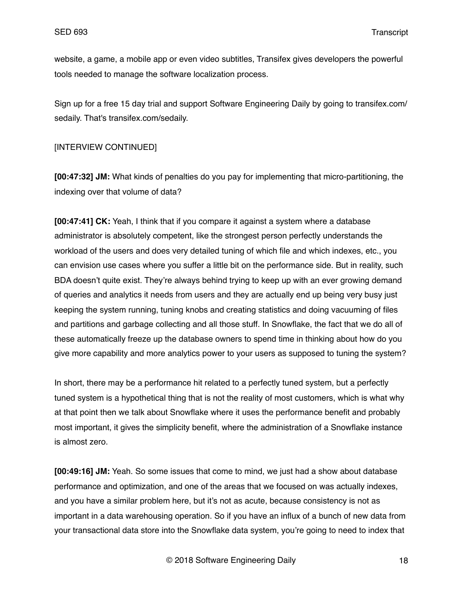website, a game, a mobile app or even video subtitles, Transifex gives developers the powerful tools needed to manage the software localization process.

Sign up for a free 15 day trial and support Software Engineering Daily by going to transifex.com/ sedaily. That's transifex.com/sedaily.

### [INTERVIEW CONTINUED]

**[00:47:32] JM:** What kinds of penalties do you pay for implementing that micro-partitioning, the indexing over that volume of data?

**[00:47:41] CK:** Yeah, I think that if you compare it against a system where a database administrator is absolutely competent, like the strongest person perfectly understands the workload of the users and does very detailed tuning of which file and which indexes, etc., you can envision use cases where you suffer a little bit on the performance side. But in reality, such BDA doesn't quite exist. They're always behind trying to keep up with an ever growing demand of queries and analytics it needs from users and they are actually end up being very busy just keeping the system running, tuning knobs and creating statistics and doing vacuuming of files and partitions and garbage collecting and all those stuff. In Snowflake, the fact that we do all of these automatically freeze up the database owners to spend time in thinking about how do you give more capability and more analytics power to your users as supposed to tuning the system?

In short, there may be a performance hit related to a perfectly tuned system, but a perfectly tuned system is a hypothetical thing that is not the reality of most customers, which is what why at that point then we talk about Snowflake where it uses the performance benefit and probably most important, it gives the simplicity benefit, where the administration of a Snowflake instance is almost zero.

**[00:49:16] JM:** Yeah. So some issues that come to mind, we just had a show about database performance and optimization, and one of the areas that we focused on was actually indexes, and you have a similar problem here, but it's not as acute, because consistency is not as important in a data warehousing operation. So if you have an influx of a bunch of new data from your transactional data store into the Snowflake data system, you're going to need to index that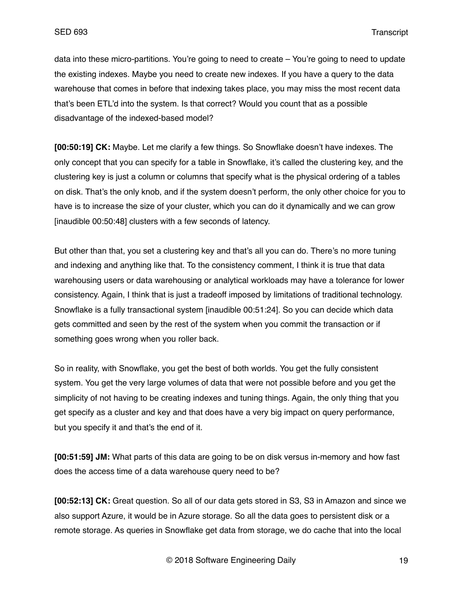data into these micro-partitions. You're going to need to create – You're going to need to update the existing indexes. Maybe you need to create new indexes. If you have a query to the data warehouse that comes in before that indexing takes place, you may miss the most recent data that's been ETL'd into the system. Is that correct? Would you count that as a possible disadvantage of the indexed-based model?

**[00:50:19] CK:** Maybe. Let me clarify a few things. So Snowflake doesn't have indexes. The only concept that you can specify for a table in Snowflake, it's called the clustering key, and the clustering key is just a column or columns that specify what is the physical ordering of a tables on disk. That's the only knob, and if the system doesn't perform, the only other choice for you to have is to increase the size of your cluster, which you can do it dynamically and we can grow [inaudible 00:50:48] clusters with a few seconds of latency.

But other than that, you set a clustering key and that's all you can do. There's no more tuning and indexing and anything like that. To the consistency comment, I think it is true that data warehousing users or data warehousing or analytical workloads may have a tolerance for lower consistency. Again, I think that is just a tradeoff imposed by limitations of traditional technology. Snowflake is a fully transactional system [inaudible 00:51:24]. So you can decide which data gets committed and seen by the rest of the system when you commit the transaction or if something goes wrong when you roller back.

So in reality, with Snowflake, you get the best of both worlds. You get the fully consistent system. You get the very large volumes of data that were not possible before and you get the simplicity of not having to be creating indexes and tuning things. Again, the only thing that you get specify as a cluster and key and that does have a very big impact on query performance, but you specify it and that's the end of it.

**[00:51:59] JM:** What parts of this data are going to be on disk versus in-memory and how fast does the access time of a data warehouse query need to be?

**[00:52:13] CK:** Great question. So all of our data gets stored in S3, S3 in Amazon and since we also support Azure, it would be in Azure storage. So all the data goes to persistent disk or a remote storage. As queries in Snowflake get data from storage, we do cache that into the local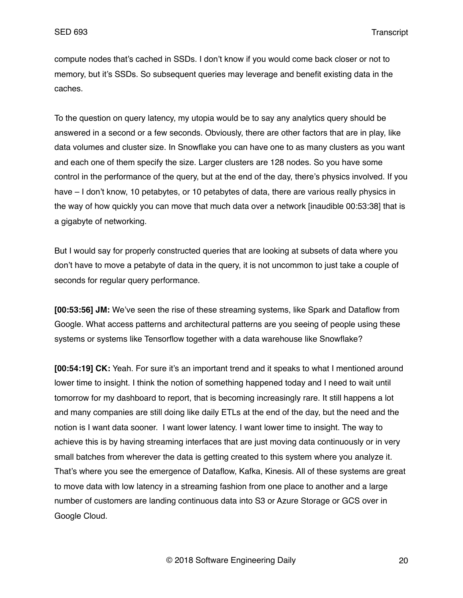compute nodes that's cached in SSDs. I don't know if you would come back closer or not to memory, but it's SSDs. So subsequent queries may leverage and benefit existing data in the caches.

To the question on query latency, my utopia would be to say any analytics query should be answered in a second or a few seconds. Obviously, there are other factors that are in play, like data volumes and cluster size. In Snowflake you can have one to as many clusters as you want and each one of them specify the size. Larger clusters are 128 nodes. So you have some control in the performance of the query, but at the end of the day, there's physics involved. If you have – I don't know, 10 petabytes, or 10 petabytes of data, there are various really physics in the way of how quickly you can move that much data over a network [inaudible 00:53:38] that is a gigabyte of networking.

But I would say for properly constructed queries that are looking at subsets of data where you don't have to move a petabyte of data in the query, it is not uncommon to just take a couple of seconds for regular query performance.

**[00:53:56] JM:** We've seen the rise of these streaming systems, like Spark and Dataflow from Google. What access patterns and architectural patterns are you seeing of people using these systems or systems like Tensorflow together with a data warehouse like Snowflake?

**[00:54:19] CK:** Yeah. For sure it's an important trend and it speaks to what I mentioned around lower time to insight. I think the notion of something happened today and I need to wait until tomorrow for my dashboard to report, that is becoming increasingly rare. It still happens a lot and many companies are still doing like daily ETLs at the end of the day, but the need and the notion is I want data sooner. I want lower latency. I want lower time to insight. The way to achieve this is by having streaming interfaces that are just moving data continuously or in very small batches from wherever the data is getting created to this system where you analyze it. That's where you see the emergence of Dataflow, Kafka, Kinesis. All of these systems are great to move data with low latency in a streaming fashion from one place to another and a large number of customers are landing continuous data into S3 or Azure Storage or GCS over in Google Cloud.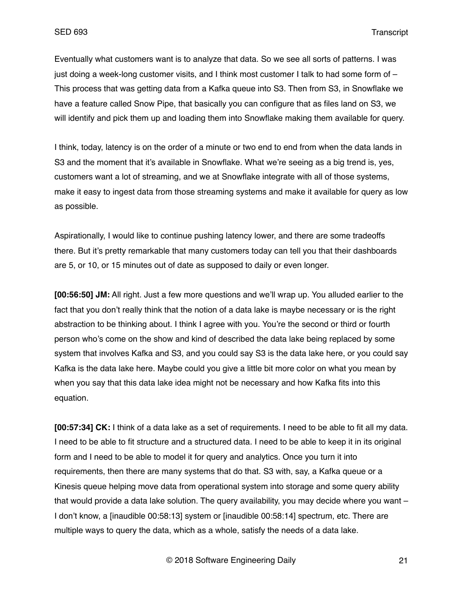Eventually what customers want is to analyze that data. So we see all sorts of patterns. I was just doing a week-long customer visits, and I think most customer I talk to had some form of – This process that was getting data from a Kafka queue into S3. Then from S3, in Snowflake we have a feature called Snow Pipe, that basically you can configure that as files land on S3, we will identify and pick them up and loading them into Snowflake making them available for query.

I think, today, latency is on the order of a minute or two end to end from when the data lands in S3 and the moment that it's available in Snowflake. What we're seeing as a big trend is, yes, customers want a lot of streaming, and we at Snowflake integrate with all of those systems, make it easy to ingest data from those streaming systems and make it available for query as low as possible.

Aspirationally, I would like to continue pushing latency lower, and there are some tradeoffs there. But it's pretty remarkable that many customers today can tell you that their dashboards are 5, or 10, or 15 minutes out of date as supposed to daily or even longer.

**[00:56:50] JM:** All right. Just a few more questions and we'll wrap up. You alluded earlier to the fact that you don't really think that the notion of a data lake is maybe necessary or is the right abstraction to be thinking about. I think I agree with you. You're the second or third or fourth person who's come on the show and kind of described the data lake being replaced by some system that involves Kafka and S3, and you could say S3 is the data lake here, or you could say Kafka is the data lake here. Maybe could you give a little bit more color on what you mean by when you say that this data lake idea might not be necessary and how Kafka fits into this equation.

**[00:57:34] CK:** I think of a data lake as a set of requirements. I need to be able to fit all my data. I need to be able to fit structure and a structured data. I need to be able to keep it in its original form and I need to be able to model it for query and analytics. Once you turn it into requirements, then there are many systems that do that. S3 with, say, a Kafka queue or a Kinesis queue helping move data from operational system into storage and some query ability that would provide a data lake solution. The query availability, you may decide where you want – I don't know, a [inaudible 00:58:13] system or [inaudible 00:58:14] spectrum, etc. There are multiple ways to query the data, which as a whole, satisfy the needs of a data lake.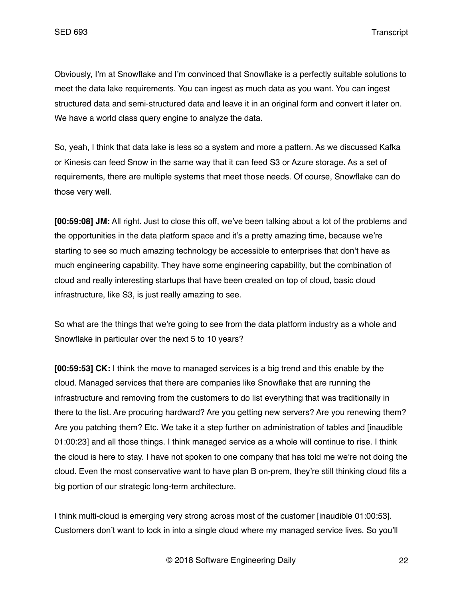Obviously, I'm at Snowflake and I'm convinced that Snowflake is a perfectly suitable solutions to meet the data lake requirements. You can ingest as much data as you want. You can ingest structured data and semi-structured data and leave it in an original form and convert it later on. We have a world class query engine to analyze the data.

So, yeah, I think that data lake is less so a system and more a pattern. As we discussed Kafka or Kinesis can feed Snow in the same way that it can feed S3 or Azure storage. As a set of requirements, there are multiple systems that meet those needs. Of course, Snowflake can do those very well.

**[00:59:08] JM:** All right. Just to close this off, we've been talking about a lot of the problems and the opportunities in the data platform space and it's a pretty amazing time, because we're starting to see so much amazing technology be accessible to enterprises that don't have as much engineering capability. They have some engineering capability, but the combination of cloud and really interesting startups that have been created on top of cloud, basic cloud infrastructure, like S3, is just really amazing to see.

So what are the things that we're going to see from the data platform industry as a whole and Snowflake in particular over the next 5 to 10 years?

**[00:59:53] CK:** I think the move to managed services is a big trend and this enable by the cloud. Managed services that there are companies like Snowflake that are running the infrastructure and removing from the customers to do list everything that was traditionally in there to the list. Are procuring hardward? Are you getting new servers? Are you renewing them? Are you patching them? Etc. We take it a step further on administration of tables and [inaudible 01:00:23] and all those things. I think managed service as a whole will continue to rise. I think the cloud is here to stay. I have not spoken to one company that has told me we're not doing the cloud. Even the most conservative want to have plan B on-prem, they're still thinking cloud fits a big portion of our strategic long-term architecture.

I think multi-cloud is emerging very strong across most of the customer [inaudible 01:00:53]. Customers don't want to lock in into a single cloud where my managed service lives. So you'll